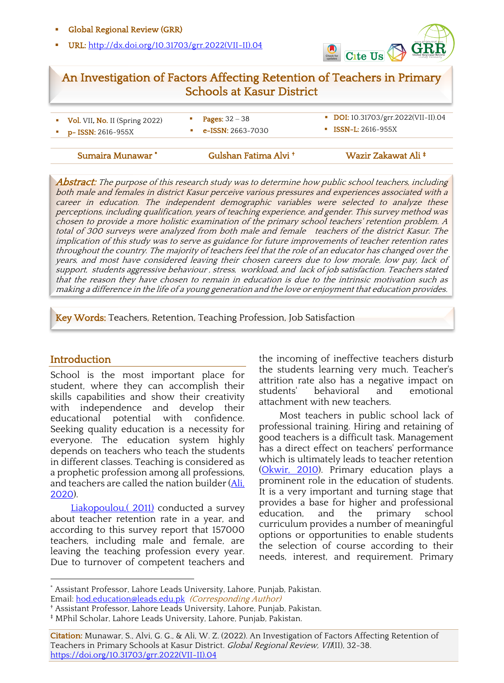#### § Global Regional Review (GRR)

§ URL: http://dx.doi.org/10.31703/grr.2022(VII-II).04



# An Investigation of Factors Affecting Retention of Teachers in Primary Schools at Kasur District

| $\bullet$ Vol. VII, No. II (Spring 2022) | <b>Pages:</b> $32 - 38$   | DOI: 10.31703/grr.2022(VII-II).04 |
|------------------------------------------|---------------------------|-----------------------------------|
| $p-$ ISSN: 2616-955X                     | <b>e-ISSN</b> : 2663-7030 | $\blacksquare$ ISSN-L: 2616-955X  |
|                                          |                           |                                   |

**Abstract:** The purpose of this research study was to determine how public school teachers, including both male and females in district Kasur perceive various pressures and experiences associated with a career in education. The independent demographic variables were selected to analyze these perceptions, including qualification, years of teaching experience, and gender. This survey method was chosen to provide a more holistic examination of the primary school teachers' retention problem. A total of 300 surveys were analyzed from both male and female teachers of the district Kasur. The implication of this study was to serve as guidance for future improvements of teacher retention rates throughout the country. The majority of teachers feel that the role of an educator has changed over the years, and most have considered leaving their chosen careers due to low morale, low pay, lack of support, students aggressive behaviour , stress, workload, and lack of job satisfaction. Teachers stated that the reason they have chosen to remain in education is due to the intrinsic motivation such as making a difference in the life of a young generation and the love or enjoyment that education provides.

l

Ï

Key Words: Teachers, Retention, Teaching Profession, Job Satisfaction

#### **Introduction**

School is the most important place for student, where they can accomplish their skills capabilities and show their creativity with independence and develop their educational potential with confidence. Seeking quality education is a necessity for everyone. The education system highly depends on teachers who teach the students in different classes. Teaching is considered as a prophetic profession among all professions, and teachers are called the nation builder (Ali, 2020).

Liakopoulou, (2011) conducted a survey about teacher retention rate in a year, and according to this survey report that 157000 teachers, including male and female, are leaving the teaching profession every year. Due to turnover of competent teachers and the incoming of ineffective teachers disturb the students learning very much. Teacher's attrition rate also has a negative impact on students' behavioral and emotional attachment with new teachers.

Most teachers in public school lack of professional training. Hiring and retaining of good teachers is a difficult task. Management has a direct effect on teachers' performance which is ultimately leads to teacher retention (Okwir, 2010). Primary education plays a prominent role in the education of students. It is a very important and turning stage that provides a base for higher and professional education, and the primary school curriculum provides a number of meaningful options or opportunities to enable students the selection of course according to their needs, interest, and requirement. Primary

<sup>\*</sup> Assistant Professor, Lahore Leads University, Lahore, Punjab, Pakistan. Email: hod.education@leads.edu.pk (Corresponding Author)

<sup>†</sup> Assistant Professor, Lahore Leads University, Lahore, Punjab, Pakistan.

<sup>‡</sup> MPhil Scholar, Lahore Leads University, Lahore, Punjab, Pakistan.

Citation: Munawar, S., Alvi, G. G., & Ali, W. Z. (2022). An Investigation of Factors Affecting Retention of Teachers in Primary Schools at Kasur District. Global Regional Review, VII(II), 32-38. https://doi.org/10.31703/grr.2022(VII-II).04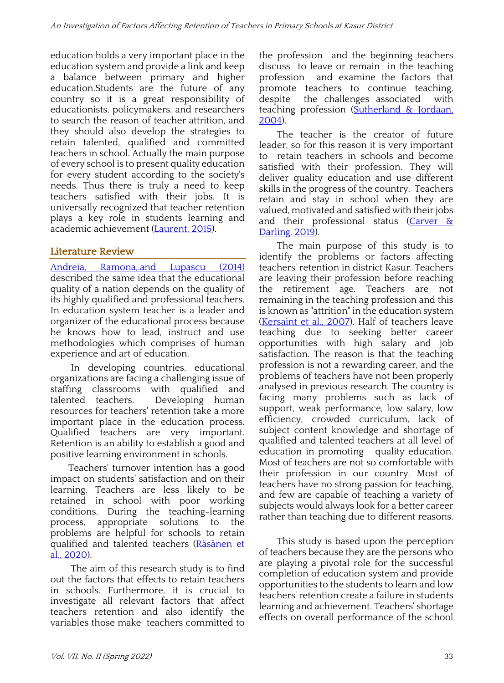education holds a very important place in the education system and provide a link and keep a balance between primary and higher education.Students are the future of any country so it is a great responsibility of educationists, policymakers, and researchers to search the reason of teacher attrition, and they should also develop the strategies to retain talented, qualified and committed teachers in school. Actually the main purpose of every school is to present quality education for every student according to the society's needs. Thus there is truly a need to keep teachers satisfied with their jobs. It is universally recognized that teacher retention plays a key role in students learning and academic achievement (Laurent, 2015).

### Literature Review

Andreia, Ramona, and Lupascu (2014) described the same idea that the educational quality of a nation depends on the quality of its highly qualified and professional teachers. In education system teacher is a leader and organizer of the educational process because he knows how to lead, instruct and use methodologies which comprises of human experience and art of education.

In developing countries, educational organizations are facing a challenging issue of staffing classrooms with qualified and Developing human resources for teachers' retention take a more important place in the education process. Qualified teachers are very important. Retention is an ability to establish a good and positive learning environment in schools.

Teachers' turnover intention has a good impact on students' satisfaction and on their learning. Teachers are less likely to be retained in school with poor working conditions. During the teaching-learning process, appropriate solutions to the problems are helpful for schools to retain qualified and talented teachers (Räsänen et al., 2020).

The aim of this research study is to find out the factors that effects to retain teachers in schools. Furthermore, it is crucial to investigate all relevant factors that affect teachers retention and also identify the variables those make teachers committed to

the profession and the beginning teachers discuss to leave or remain in the teaching profession and examine the factors that promote teachers to continue teaching, despite the challenges associated with teaching profession (Sutherland & Jordaan, 2004).

The teacher is the creator of future leader, so for this reason it is very important to retain teachers in schools and become satisfied with their profession. They will deliver quality education and use different skills in the progress of the country. Teachers retain and stay in school when they are valued, motivated and satisfied with their jobs and their professional status (Carver & Darling, 2019).

The main purpose of this study is to identify the problems or factors affecting teachers' retention in district Kasur. Teachers are leaving their profession before reaching the retirement age. Teachers are not remaining in the teaching profession and this is known as "attrition" in the education system (Kersaint et al., 2007). Half of teachers leave teaching due to seeking better career opportunities with high salary and job satisfaction. The reason is that the teaching profession is not a rewarding career, and the problems of teachers have not been properly analysed in previous research. The country is facing many problems such as lack of support, weak performance, low salary, low efficiency, crowded curriculum, lack of subject content knowledge and shortage of qualified and talented teachers at all level of education in promoting quality education. Most of teachers are not so comfortable with their profession in our country. Most of teachers have no strong passion for teaching, and few are capable of teaching a variety of subjects would always look for a better career rather than teaching due to different reasons.

This study is based upon the perception of teachers because they are the persons who are playing a pivotal role for the successful completion of education system and provide opportunities to the students to learn and low teachers' retention create a failure in students learning and achievement. Teachers' shortage effects on overall performance of the school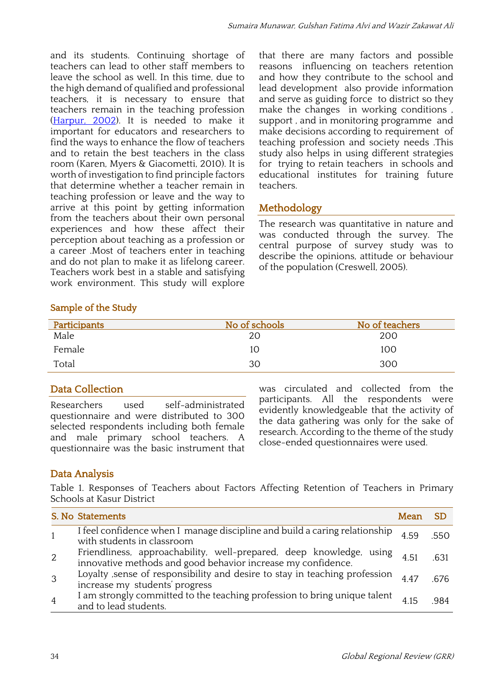and its students. Continuing shortage of teachers can lead to other staff members to leave the school as well. In this time, due to the high demand of qualified and professional teachers, it is necessary to ensure that teachers remain in the teaching profession (Harpur, 2002). It is needed to make it important for educators and researchers to find the ways to enhance the flow of teachers and to retain the best teachers in the class room (Karen, Myers & Giacometti, 2010). It is worth of investigation to find principle factors that determine whether a teacher remain in teaching profession or leave and the way to arrive at this point by getting information from the teachers about their own personal experiences and how these affect their perception about teaching as a profession or a career .Most of teachers enter in teaching and do not plan to make it as lifelong career. Teachers work best in a stable and satisfying work environment. This study will explore that there are many factors and possible reasons influencing on teachers retention and how they contribute to the school and lead development also provide information and serve as guiding force to district so they make the changes in working conditions , support , and in monitoring programme and make decisions according to requirement of teaching profession and society needs .This study also helps in using different strategies for trying to retain teachers in schools and educational institutes for training future teachers.

# Methodology

The research was quantitative in nature and was conducted through the survey. The central purpose of survey study was to describe the opinions, attitude or behaviour of the population (Creswell, 2005).

### Sample of the Study

| Participants | No of schools | No of teachers |
|--------------|---------------|----------------|
| Male         | 20            | 200            |
| Female       | 10            | 100            |
| Total        | 30            | 300            |

# Data Collection

Researchers used self-administrated questionnaire and were distributed to 300 selected respondents including both female and male primary school teachers. A questionnaire was the basic instrument that was circulated and collected from the participants. All the respondents were evidently knowledgeable that the activity of the data gathering was only for the sake of research. According to the theme of the study close-ended questionnaires were used.

# Data Analysis

Table 1. Responses of Teachers about Factors Affecting Retention of Teachers in Primary Schools at Kasur District

|                | S. No Statements                                                                                                                    | Mean |      |
|----------------|-------------------------------------------------------------------------------------------------------------------------------------|------|------|
| $\overline{1}$ | I feel confidence when I manage discipline and build a caring relationship<br>with students in classroom                            | 459  | 550  |
| 2              | Friendliness, approachability, well-prepared, deep knowledge, using<br>innovative methods and good behavior increase my confidence. | 4.51 | -631 |
| -3             | Loyalty , sense of responsibility and desire to stay in teaching profession<br>increase my students' progress                       | 447  | .676 |
| $\overline{4}$ | I am strongly committed to the teaching profession to bring unique talent<br>and to lead students.                                  |      | 984  |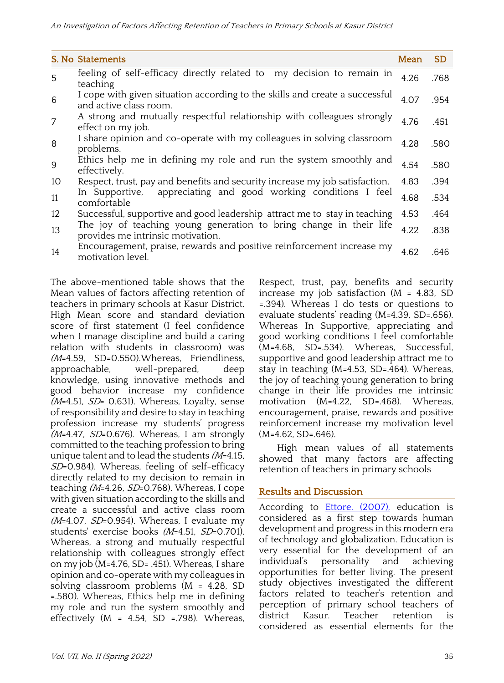|    | S. No Statements                                                                                        | Mean | <b>SD</b> |
|----|---------------------------------------------------------------------------------------------------------|------|-----------|
| 5  | feeling of self-efficacy directly related to my decision to remain in<br>teaching                       | 4.26 | .768      |
| 6  | I cope with given situation according to the skills and create a successful<br>and active class room.   | 4.07 | .954      |
| 7  | A strong and mutually respectful relationship with colleagues strongly<br>effect on my job.             | 4.76 | .451      |
| 8  | I share opinion and co-operate with my colleagues in solving classroom<br>problems.                     | 4.28 | .580      |
| 9  | Ethics help me in defining my role and run the system smoothly and<br>effectively.                      | 4.54 | .580      |
| 10 | Respect, trust, pay and benefits and security increase my job satisfaction.                             | 4.83 | .394      |
| 11 | appreciating and good working conditions I feel<br>In Supportive,<br>comfortable                        | 4.68 | .534      |
| 12 | Successful, supportive and good leadership attract me to stay in teaching                               | 4.53 | .464      |
| 13 | The joy of teaching young generation to bring change in their life<br>provides me intrinsic motivation. | 4.22 | .838      |
| 14 | Encouragement, praise, rewards and positive reinforcement increase my<br>motivation level.              | 4.62 | .646      |

The above-mentioned table shows that the Mean values of factors affecting retention of teachers in primary schools at Kasur District. High Mean score and standard deviation score of first statement (I feel confidence when I manage discipline and build a caring relation with students in classroom) was (M=4.59, SD=0.550).Whereas, Friendliness, approachable, well-prepared, deep knowledge, using innovative methods and good behavior increase my confidence  $(M=4.51, SD= 0.631)$ . Whereas, Loyalty, sense of responsibility and desire to stay in teaching profession increase my students' progress  $(M=4.47, SD=0.676)$ . Whereas, I am strongly committed to the teaching profession to bring unique talent and to lead the students  $(M=4.15,$ SD=0.984). Whereas, feeling of self-efficacy directly related to my decision to remain in teaching (M=4.26, SD=0.768). Whereas, I cope with given situation according to the skills and create a successful and active class room  $(M=4.07, SD=0.954)$ . Whereas, I evaluate my students' exercise books (M=4.51, SD=0.701). Whereas, a strong and mutually respectful relationship with colleagues strongly effect on my job (M=4.76, SD= .451). Whereas, I share opinion and co-operate with my colleagues in solving classroom problems (M = 4.28, SD =.580). Whereas, Ethics help me in defining my role and run the system smoothly and effectively  $(M = 4.54, SD = 798)$ . Whereas, Respect, trust, pay, benefits and security increase my job satisfaction (M = 4.83, SD =.394). Whereas I do tests or questions to evaluate students' reading (M=4.39, SD=.656). Whereas In Supportive, appreciating and good working conditions I feel comfortable (M=4.68, SD=.534). Whereas, Successful, supportive and good leadership attract me to stay in teaching (M=4.53, SD=.464). Whereas, the joy of teaching young generation to bring change in their life provides me intrinsic motivation (M=4.22, SD=.468). Whereas, encouragement, praise, rewards and positive reinforcement increase my motivation level  $(M=4.62, SD=.646)$ .

High mean values of all statements showed that many factors are affecting retention of teachers in primary schools

#### Results and Discussion

According to **Ettore**, (2007), education is considered as a first step towards human development and progress in this modern era of technology and globalization. Education is very essential for the development of an individual's personality and achieving opportunities for better living. The present study objectives investigated the different factors related to teacher's retention and perception of primary school teachers of district Kasur. Teacher retention is considered as essential elements for the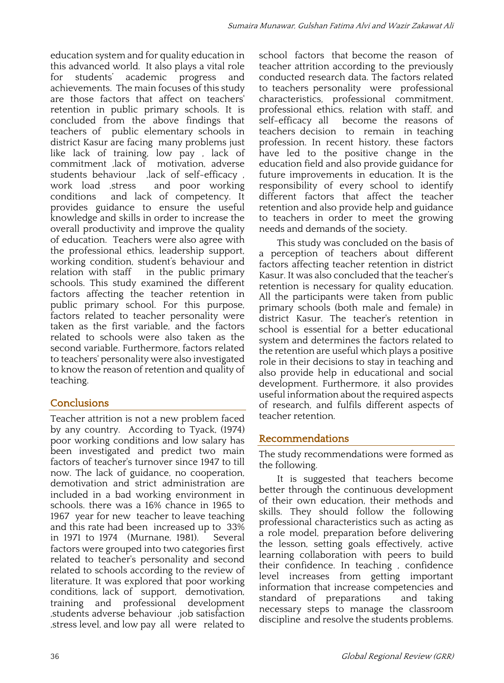education system and for quality education in this advanced world. It also plays a vital role for students' academic progress and achievements. The main focuses of this study are those factors that affect on teachers' retention in public primary schools. It is concluded from the above findings that teachers of public elementary schools in district Kasur are facing many problems just like lack of training, low pay , lack of commitment ,lack of motivation, adverse students behaviour ,lack of self-efficacy , work load ,stress and poor working conditions and lack of competency. It provides guidance to ensure the useful knowledge and skills in order to increase the overall productivity and improve the quality of education. Teachers were also agree with the professional ethics, leadership support, working condition, student's behaviour and relation with staff in the public primary schools. This study examined the different factors affecting the teacher retention in public primary school. For this purpose, factors related to teacher personality were taken as the first variable, and the factors related to schools were also taken as the second variable. Furthermore, factors related to teachers' personality were also investigated to know the reason of retention and quality of teaching.

# **Conclusions**

Teacher attrition is not a new problem faced by any country. According to Tyack, (1974) poor working conditions and low salary has been investigated and predict two main factors of teacher's turnover since 1947 to till now. The lack of guidance, no cooperation, demotivation and strict administration are included in a bad working environment in schools. there was a 16% chance in 1965 to 1967 year for new teacher to leave teaching and this rate had been increased up to 33% in 1971 to 1974 (Murnane, 1981). Several factors were grouped into two categories first related to teacher's personality and second related to schools according to the review of literature. It was explored that poor working conditions, lack of support, demotivation, training and professional development ,students adverse behaviour ,job satisfaction ,stress level, and low pay all were related to school factors that become the reason of teacher attrition according to the previously conducted research data. The factors related to teachers personality were professional characteristics, professional commitment, professional ethics, relation with staff, and self-efficacy all become the reasons of teachers decision to remain in teaching profession. In recent history, these factors have led to the positive change in the education field and also provide guidance for future improvements in education. It is the responsibility of every school to identify different factors that affect the teacher retention and also provide help and guidance to teachers in order to meet the growing needs and demands of the society.

This study was concluded on the basis of a perception of teachers about different factors affecting teacher retention in district Kasur. It was also concluded that the teacher's retention is necessary for quality education. All the participants were taken from public primary schools (both male and female) in district Kasur. The teacher's retention in school is essential for a better educational system and determines the factors related to the retention are useful which plays a positive role in their decisions to stay in teaching and also provide help in educational and social development. Furthermore, it also provides useful information about the required aspects of research, and fulfils different aspects of teacher retention.

### Recommendations

The study recommendations were formed as the following.

It is suggested that teachers become better through the continuous development of their own education, their methods and skills. They should follow the following professional characteristics such as acting as a role model, preparation before delivering the lesson, setting goals effectively, active learning collaboration with peers to build their confidence. In teaching , confidence level increases from getting important information that increase competencies and standard of preparations and taking necessary steps to manage the classroom discipline and resolve the students problems.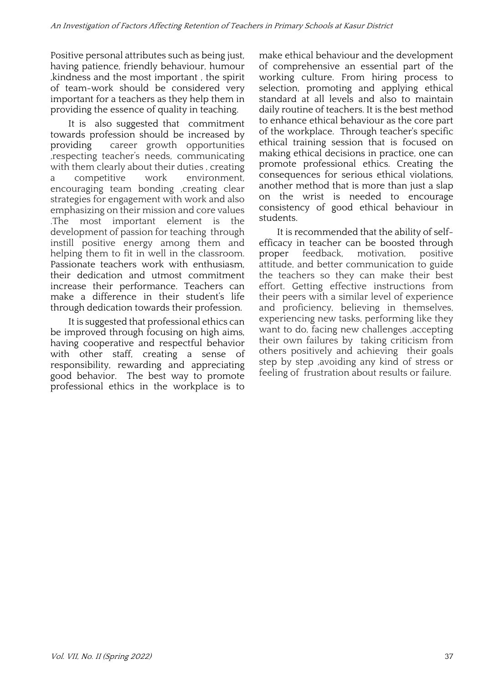Positive personal attributes such as being just, having patience, friendly behaviour, humour ,kindness and the most important , the spirit of team-work should be considered very important for a teachers as they help them in providing the essence of quality in teaching.

It is also suggested that commitment towards profession should be increased by providing career growth opportunities ,respecting teacher's needs, communicating with them clearly about their duties , creating a competitive work environment, encouraging team bonding ,creating clear strategies for engagement with work and also emphasizing on their mission and core values .The most important element is the development of passion for teaching through instill positive energy among them and helping them to fit in well in the classroom. Passionate teachers work with enthusiasm, their dedication and utmost commitment increase their performance. Teachers can make a difference in their student's life through dedication towards their profession.

It is suggested that professional ethics can be improved through focusing on high aims, having cooperative and respectful behavior with other staff, creating a sense of responsibility, rewarding and appreciating good behavior. The best way to promote professional ethics in the workplace is to make ethical behaviour and the development of comprehensive an essential part of the working culture. From hiring process to selection, promoting and applying ethical standard at all levels and also to maintain daily routine of teachers. It is the best method to enhance ethical behaviour as the core part of the workplace. Through teacher's specific ethical training session that is focused on making ethical decisions in practice, one can promote professional ethics. Creating the consequences for serious ethical violations, another method that is more than just a slap on the wrist is needed to encourage consistency of good ethical behaviour in students.

It is recommended that the ability of selfefficacy in teacher can be boosted through proper feedback, motivation, positive attitude, and better communication to guide the teachers so they can make their best effort. Getting effective instructions from their peers with a similar level of experience and proficiency, believing in themselves, experiencing new tasks, performing like they want to do, facing new challenges ,accepting their own failures by taking criticism from others positively and achieving their goals step by step ,avoiding any kind of stress or feeling of frustration about results or failure.